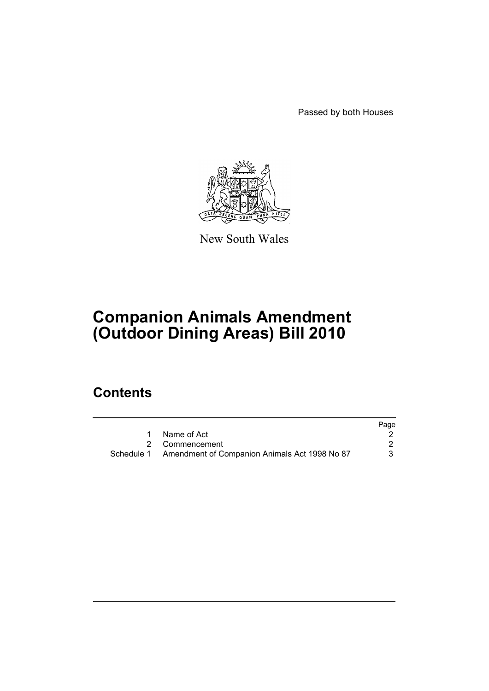Passed by both Houses



New South Wales

# **Companion Animals Amendment (Outdoor Dining Areas) Bill 2010**

## **Contents**

|                                                          | Page |
|----------------------------------------------------------|------|
| 1 Name of Act                                            |      |
| 2 Commencement                                           |      |
| Schedule 1 Amendment of Companion Animals Act 1998 No 87 | 3.   |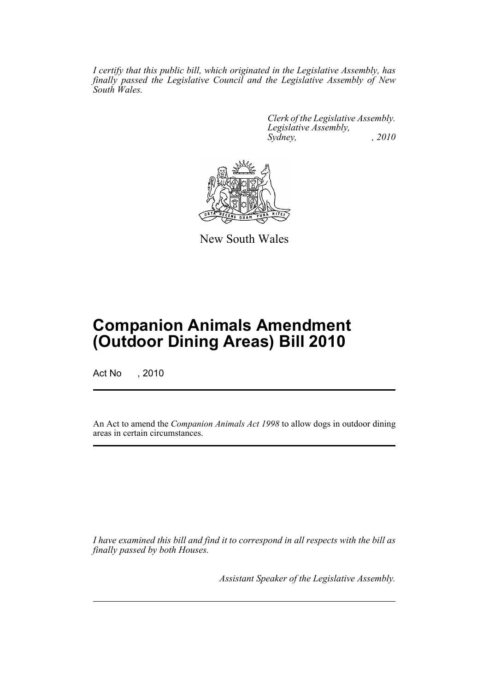*I certify that this public bill, which originated in the Legislative Assembly, has finally passed the Legislative Council and the Legislative Assembly of New South Wales.*

> *Clerk of the Legislative Assembly. Legislative Assembly, Sydney, , 2010*



New South Wales

## **Companion Animals Amendment (Outdoor Dining Areas) Bill 2010**

Act No , 2010

An Act to amend the *Companion Animals Act 1998* to allow dogs in outdoor dining areas in certain circumstances.

*I have examined this bill and find it to correspond in all respects with the bill as finally passed by both Houses.*

*Assistant Speaker of the Legislative Assembly.*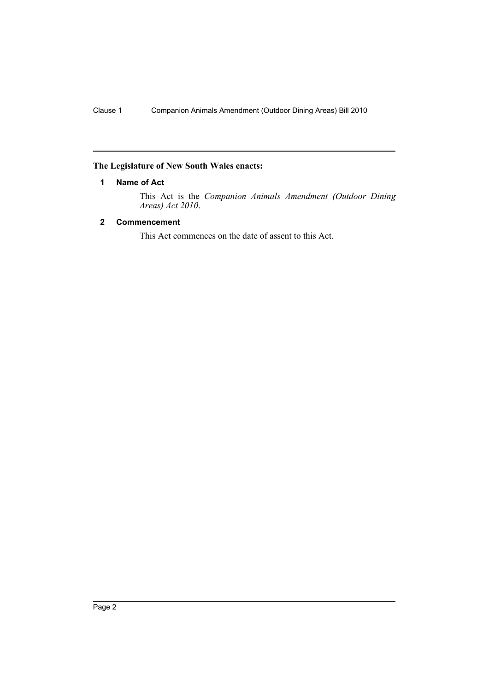### <span id="page-2-0"></span>**The Legislature of New South Wales enacts:**

#### **1 Name of Act**

This Act is the *Companion Animals Amendment (Outdoor Dining Areas) Act 2010*.

#### <span id="page-2-1"></span>**2 Commencement**

This Act commences on the date of assent to this Act.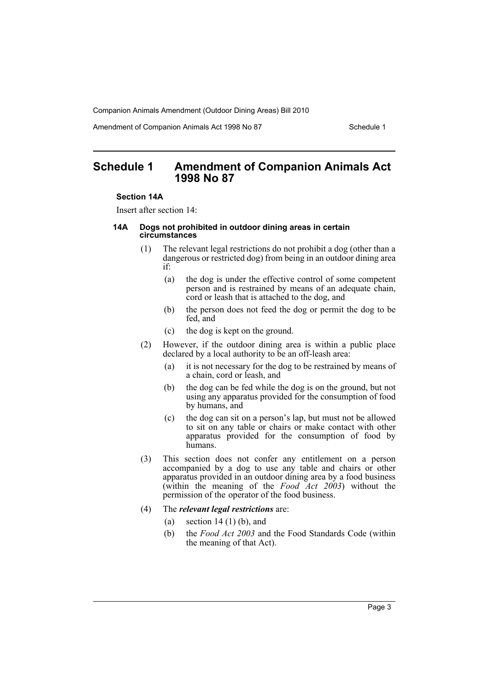Companion Animals Amendment (Outdoor Dining Areas) Bill 2010

Amendment of Companion Animals Act 1998 No 87 Schedule 1

### <span id="page-3-0"></span>**Schedule 1 Amendment of Companion Animals Act 1998 No 87**

#### **Section 14A**

Insert after section 14:

#### **14A Dogs not prohibited in outdoor dining areas in certain circumstances**

- (1) The relevant legal restrictions do not prohibit a dog (other than a dangerous or restricted dog) from being in an outdoor dining area if:
	- (a) the dog is under the effective control of some competent person and is restrained by means of an adequate chain, cord or leash that is attached to the dog, and
	- (b) the person does not feed the dog or permit the dog to be fed, and
	- (c) the dog is kept on the ground.
- (2) However, if the outdoor dining area is within a public place declared by a local authority to be an off-leash area:
	- (a) it is not necessary for the dog to be restrained by means of a chain, cord or leash, and
	- (b) the dog can be fed while the dog is on the ground, but not using any apparatus provided for the consumption of food by humans, and
	- (c) the dog can sit on a person's lap, but must not be allowed to sit on any table or chairs or make contact with other apparatus provided for the consumption of food by humans.
- (3) This section does not confer any entitlement on a person accompanied by a dog to use any table and chairs or other apparatus provided in an outdoor dining area by a food business (within the meaning of the *Food Act 2003*) without the permission of the operator of the food business.
- (4) The *relevant legal restrictions* are:
	- (a) section 14 (1) (b), and
	- (b) the *Food Act 2003* and the Food Standards Code (within the meaning of that Act).